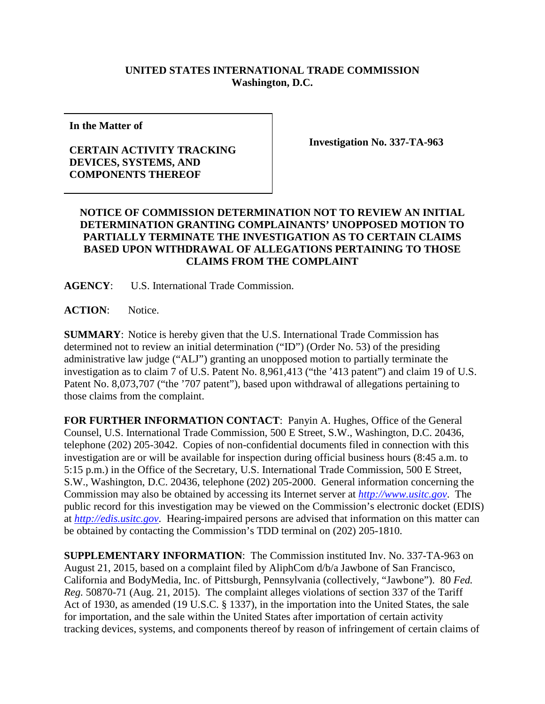## **UNITED STATES INTERNATIONAL TRADE COMMISSION Washington, D.C.**

**In the Matter of**

## **CERTAIN ACTIVITY TRACKING DEVICES, SYSTEMS, AND COMPONENTS THEREOF**

**Investigation No. 337-TA-963**

## **NOTICE OF COMMISSION DETERMINATION NOT TO REVIEW AN INITIAL DETERMINATION GRANTING COMPLAINANTS' UNOPPOSED MOTION TO PARTIALLY TERMINATE THE INVESTIGATION AS TO CERTAIN CLAIMS BASED UPON WITHDRAWAL OF ALLEGATIONS PERTAINING TO THOSE CLAIMS FROM THE COMPLAINT**

**AGENCY**: U.S. International Trade Commission.

**ACTION**: Notice.

**SUMMARY**: Notice is hereby given that the U.S. International Trade Commission has determined not to review an initial determination ("ID") (Order No. 53) of the presiding administrative law judge ("ALJ") granting an unopposed motion to partially terminate the investigation as to claim 7 of U.S. Patent No. 8,961,413 ("the '413 patent") and claim 19 of U.S. Patent No. 8,073,707 ("the '707 patent"), based upon withdrawal of allegations pertaining to those claims from the complaint.

**FOR FURTHER INFORMATION CONTACT**: Panyin A. Hughes, Office of the General Counsel, U.S. International Trade Commission, 500 E Street, S.W., Washington, D.C. 20436, telephone (202) 205-3042. Copies of non-confidential documents filed in connection with this investigation are or will be available for inspection during official business hours (8:45 a.m. to 5:15 p.m.) in the Office of the Secretary, U.S. International Trade Commission, 500 E Street, S.W., Washington, D.C. 20436, telephone (202) 205-2000. General information concerning the Commission may also be obtained by accessing its Internet server at *[http://www.usitc.gov](http://www.usitc.gov/)*. The public record for this investigation may be viewed on the Commission's electronic docket (EDIS) at *[http://edis.usitc.gov](http://edis.usitc.gov/)*. Hearing-impaired persons are advised that information on this matter can be obtained by contacting the Commission's TDD terminal on (202) 205-1810.

**SUPPLEMENTARY INFORMATION**: The Commission instituted Inv. No. 337-TA-963 on August 21, 2015, based on a complaint filed by AliphCom d/b/a Jawbone of San Francisco, California and BodyMedia, Inc. of Pittsburgh, Pennsylvania (collectively, "Jawbone"). 80 *Fed. Reg.* 50870-71 (Aug. 21, 2015). The complaint alleges violations of section 337 of the Tariff Act of 1930, as amended (19 U.S.C. § 1337), in the importation into the United States, the sale for importation, and the sale within the United States after importation of certain activity tracking devices, systems, and components thereof by reason of infringement of certain claims of